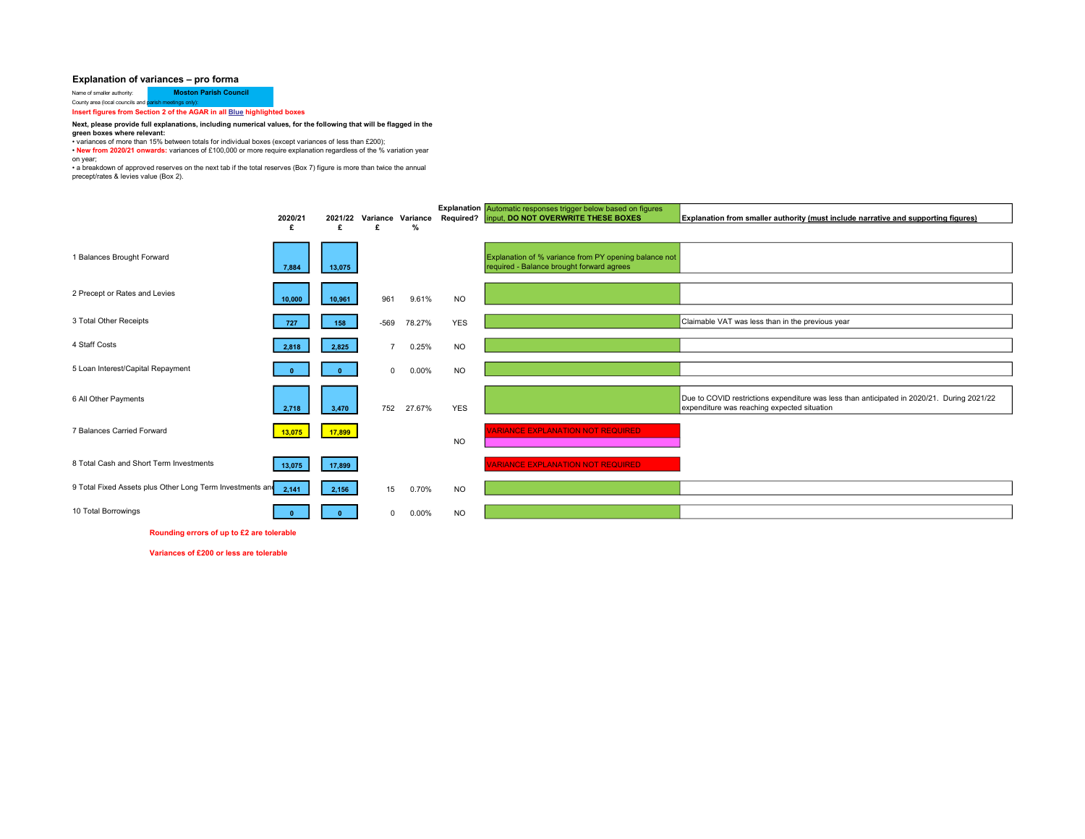## Explanation of variances – pro forma

Name of smaller authority: **Moston Parish Council<br>County area (local councils and <mark>parish meetings only):</mark> Insert figures from Section 2 of the AGAR in all <u>Blue</u> highlighted boxes** 

## Next, please provide full explanations, including numerical values, for the following that will be flagged in the

**green boxes where relevant:**<br>• variances of more than 15% between totals for individual boxes (except variances of less than £200);

• New from 2020/21 onwards: variances of £100,000 or more require explanation regardless of the % variation year

on year;

• a breakdown of approved reserves on the next tab if the total reserves (Box 7) figure is more than twice the annual precept/rates & levies value (Box 2).

|                                                           | 2020/21<br>£ | 2021/22<br>£ | £              | $\%$   | Variance Variance Required? | <b>Explanation</b> Automatic responses trigger below based on figures<br>input, DO NOT OVERWRITE THESE BOXES | Explanation from smaller authority (must include narrative and supporting figures)                                                        |
|-----------------------------------------------------------|--------------|--------------|----------------|--------|-----------------------------|--------------------------------------------------------------------------------------------------------------|-------------------------------------------------------------------------------------------------------------------------------------------|
| 1 Balances Brought Forward                                | 7,884        | 13,075       |                |        |                             | Explanation of % variance from PY opening balance not<br>required - Balance brought forward agrees           |                                                                                                                                           |
| 2 Precept or Rates and Levies                             | 10,000       | 10,961       | 961            | 9.61%  | <b>NO</b>                   |                                                                                                              |                                                                                                                                           |
| 3 Total Other Receipts                                    | 727          | 158          | $-569$         | 78.27% | <b>YES</b>                  |                                                                                                              | Claimable VAT was less than in the previous year                                                                                          |
| 4 Staff Costs                                             | 2.818        | 2,825        | $\overline{7}$ | 0.25%  | <b>NO</b>                   |                                                                                                              |                                                                                                                                           |
| 5 Loan Interest/Capital Repayment                         |              |              | $\mathbf 0$    | 0.00%  | <b>NO</b>                   |                                                                                                              |                                                                                                                                           |
| 6 All Other Payments                                      | 2,718        | 3,470        | 752            | 27.67% | <b>YES</b>                  |                                                                                                              | Due to COVID restrictions expenditure was less than anticipated in 2020/21. During 2021/22<br>expenditure was reaching expected situation |
| 7 Balances Carried Forward                                | 13,075       | 17,899       |                |        | <b>NO</b>                   | <b>/ARIANCE EXPLANATION NOT REQUIRED</b>                                                                     |                                                                                                                                           |
| 8 Total Cash and Short Term Investments                   | 13,075       | 17,899       |                |        |                             | <b>ARIANCE EXPLANATION NOT REQUIRED</b>                                                                      |                                                                                                                                           |
| 9 Total Fixed Assets plus Other Long Term Investments and | 2.141        | 2,156        | 15             | 0.70%  | <b>NO</b>                   |                                                                                                              |                                                                                                                                           |
| 10 Total Borrowings                                       |              |              | $\Omega$       | 0.00%  | <b>NO</b>                   |                                                                                                              |                                                                                                                                           |

Rounding errors of up to £2 are tolerable

Variances of £200 or less are tolerable